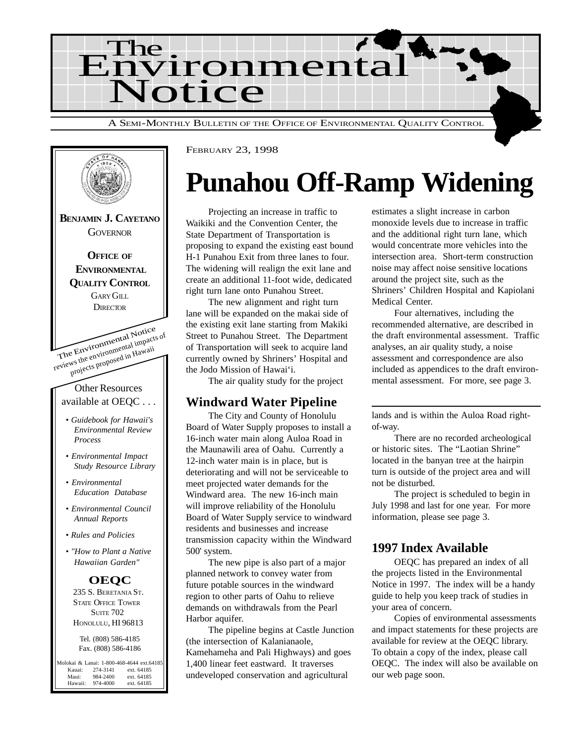



# **Punahou Off-Ramp Widening**

Projecting an increase in traffic to Waikiki and the Convention Center, the State Department of Transportation is proposing to expand the existing east bound H-1 Punahou Exit from three lanes to four. The widening will realign the exit lane and create an additional 11-foot wide, dedicated right turn lane onto Punahou Street.

The new alignment and right turn lane will be expanded on the makai side of the existing exit lane starting from Makiki Street to Punahou Street. The Department of Transportation will seek to acquire land currently owned by Shriners' Hospital and the Jodo Mission of Hawai'i.

The air quality study for the project

#### **Windward Water Pipeline**

The City and County of Honolulu Board of Water Supply proposes to install a 16-inch water main along Auloa Road in the Maunawili area of Oahu. Currently a 12-inch water main is in place, but is deteriorating and will not be serviceable to meet projected water demands for the Windward area. The new 16-inch main will improve reliability of the Honolulu Board of Water Supply service to windward residents and businesses and increase transmission capacity within the Windward 500' system.

The new pipe is also part of a major planned network to convey water from future potable sources in the windward region to other parts of Oahu to relieve demands on withdrawals from the Pearl Harbor aquifer.

The pipeline begins at Castle Junction (the intersection of Kalanianaole, Kamehameha and Pali Highways) and goes 1,400 linear feet eastward. It traverses undeveloped conservation and agricultural

estimates a slight increase in carbon monoxide levels due to increase in traffic and the additional right turn lane, which would concentrate more vehicles into the intersection area. Short-term construction noise may affect noise sensitive locations around the project site, such as the Shriners' Children Hospital and Kapiolani Medical Center.

Four alternatives, including the recommended alternative, are described in the draft environmental assessment. Traffic analyses, an air quality study, a noise assessment and correspondence are also included as appendices to the draft environmental assessment. For more, see page 3.

lands and is within the Auloa Road rightof-way.

There are no recorded archeological or historic sites. The "Laotian Shrine" located in the banyan tree at the hairpin turn is outside of the project area and will not be disturbed.

The project is scheduled to begin in July 1998 and last for one year. For more information, please see page 3.

#### **1997 Index Available**

OEQC has prepared an index of all the projects listed in the Environmental Notice in 1997. The index will be a handy guide to help you keep track of studies in your area of concern.

Copies of environmental assessments and impact statements for these projects are available for review at the OEQC library. To obtain a copy of the index, please call OEQC. The index will also be available on our web page soon.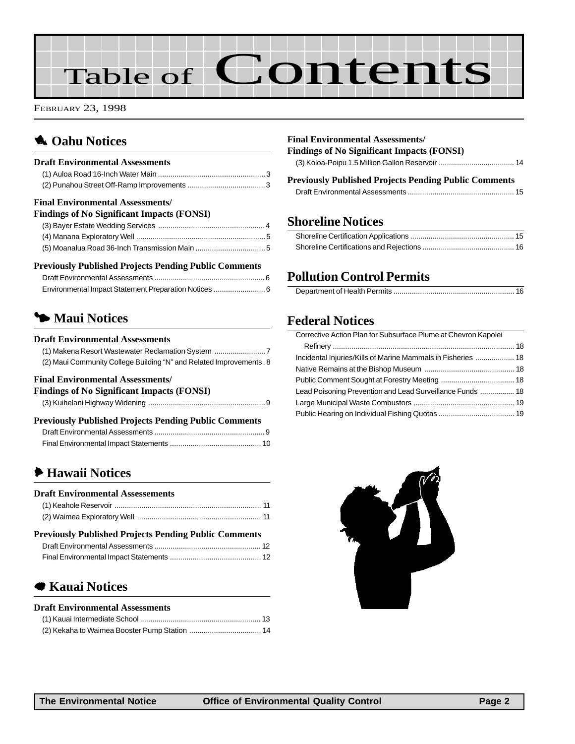# Table of Contents

FEBRUARY 23, 1998

## **1** Oahu Notices

| <b>Draft Environmental Assessments</b>                                                       |  |
|----------------------------------------------------------------------------------------------|--|
|                                                                                              |  |
|                                                                                              |  |
| <b>Final Environmental Assessments/</b><br><b>Findings of No Significant Impacts (FONSI)</b> |  |

#### **Previously Published Projects Pending Public Comments**

## 3 **Maui Notices**

#### **Draft Environmental Assessments**

| (1) Makena Resort Wastewater Reclamation System                      |
|----------------------------------------------------------------------|
| (2) Maui Community College Building "N" and Related Improvements . 8 |

#### **Final Environmental Assessments/**

#### **Findings of No Significant Impacts (FONSI)**

|--|--|--|--|

#### **Previously Published Projects Pending Public Comments**

#### 6 **[Hawaii Notices](#page-10-0)**

| <b>Draft Environmental Assessements</b>                      |  |
|--------------------------------------------------------------|--|
|                                                              |  |
|                                                              |  |
| <b>Previously Published Projects Pending Public Comments</b> |  |
|                                                              |  |
|                                                              |  |
|                                                              |  |

#### 7 **[Kauai Notices](#page-12-0)**

#### **Draft Environmental Assessments**

#### **Final Environmental Assessments/**

| Findings of No Significant Impacts (FONSI) |  |
|--------------------------------------------|--|
|                                            |  |

| <b>Previously Published Projects Pending Public Comments</b> |  |
|--------------------------------------------------------------|--|
|                                                              |  |

#### **Shoreline Notices**

#### **Pollution Control Permits**

#### **Federal Notices**

| Corrective Action Plan for Subsurface Plume at Chevron Kapolei |  |
|----------------------------------------------------------------|--|
|                                                                |  |
| Incidental Injuries/Kills of Marine Mammals in Fisheries  18   |  |
|                                                                |  |
|                                                                |  |
| Lead Poisoning Prevention and Lead Surveillance Funds  18      |  |
|                                                                |  |
|                                                                |  |
|                                                                |  |

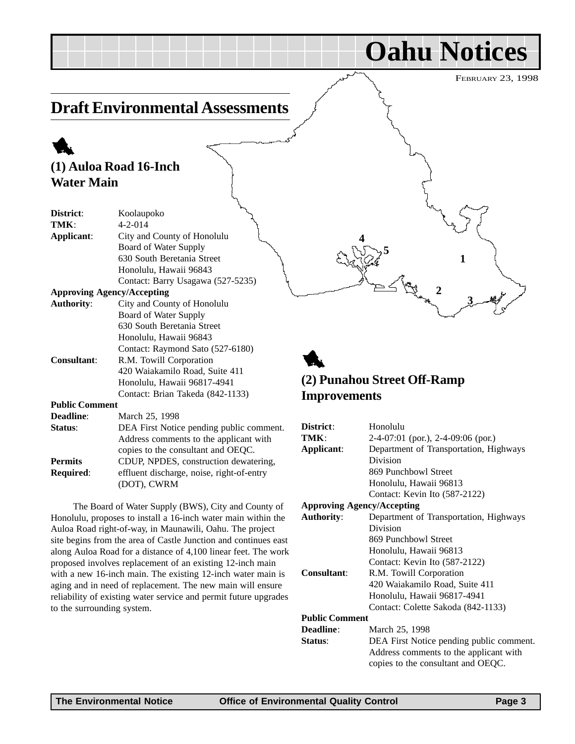**Oahu Notices**

**1**

**3**

**2**

## <span id="page-2-0"></span>**Draft Environmental Assessments**

# 1

#### **(1) Auloa Road 16-Inch Water Main**

| District:             | Koolaupoko                               |
|-----------------------|------------------------------------------|
| TMK:                  | $4 - 2 - 014$                            |
| Applicant:            | City and County of Honolulu              |
|                       | Board of Water Supply                    |
|                       | 630 South Beretania Street               |
|                       | Honolulu, Hawaii 96843                   |
|                       | Contact: Barry Usagawa (527-5235)        |
|                       | <b>Approving Agency/Accepting</b>        |
| <b>Authority:</b>     | City and County of Honolulu              |
|                       | Board of Water Supply                    |
|                       | 630 South Beretania Street               |
|                       | Honolulu, Hawaii 96843                   |
|                       | Contact: Raymond Sato (527-6180)         |
| <b>Consultant:</b>    | R.M. Towill Corporation                  |
|                       | 420 Waiakamilo Road, Suite 411           |
|                       | Honolulu, Hawaii 96817-4941              |
|                       | Contact: Brian Takeda (842-1133)         |
| <b>Public Comment</b> |                                          |
| Deadline:             | March 25, 1998                           |
| Status:               | DEA First Notice pending public comment. |
|                       | Address comments to the applicant with   |
|                       | copies to the consultant and OEQC.       |
| Permits               | CDUP NPDES construction dewatering       |

**Permits** CDUP, NPDES, construction dewatering, **Required:** effluent discharge, noise, right-of-entry (DOT), CWRM

The Board of Water Supply (BWS), City and County of Honolulu, proposes to install a 16-inch water main within the Auloa Road right-of-way, in Maunawili, Oahu. The project site begins from the area of Castle Junction and continues east along Auloa Road for a distance of 4,100 linear feet. The work proposed involves replacement of an existing 12-inch main with a new 16-inch main. The existing 12-inch water main is aging and in need of replacement. The new main will ensure reliability of existing water service and permit future upgrades to the surrounding system.

## 1 **(2) Punahou Street Off-Ramp Improvements**

**4**

**5**

| District:                         | Honolulu                                 |
|-----------------------------------|------------------------------------------|
| TMK:                              | $2-4-07:01$ (por.), $2-4-09:06$ (por.)   |
| Applicant:                        | Department of Transportation, Highways   |
|                                   | Division                                 |
|                                   | 869 Punchbowl Street                     |
|                                   | Honolulu, Hawaii 96813                   |
|                                   | Contact: Kevin Ito (587-2122)            |
| <b>Approving Agency/Accepting</b> |                                          |
| <b>Authority:</b>                 | Department of Transportation, Highways   |
|                                   | Division                                 |
|                                   | 869 Punchbowl Street                     |
|                                   | Honolulu, Hawaii 96813                   |
|                                   | Contact: Kevin Ito (587-2122)            |
| Consultant:                       | R.M. Towill Corporation                  |
|                                   | 420 Waiakamilo Road, Suite 411           |
|                                   | Honolulu, Hawaii 96817-4941              |
|                                   | Contact: Colette Sakoda (842-1133)       |
| <b>Public Comment</b>             |                                          |
| <b>Deadline:</b>                  | March 25, 1998                           |
| Status:                           | DEA First Notice pending public comment. |
|                                   | Address comments to the applicant with   |
|                                   | copies to the consultant and OEQC.       |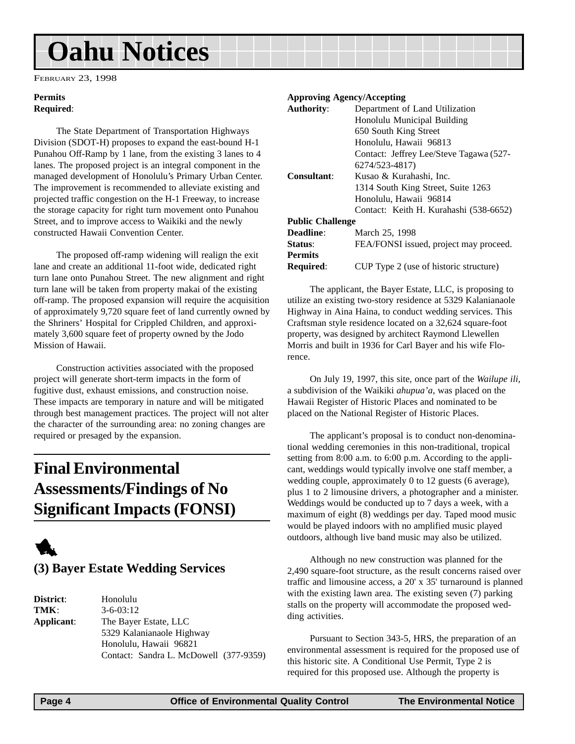# <span id="page-3-0"></span>**Oahu Notices**

FEBRUARY 23, 1998

#### **Permits Required**:

The State Department of Transportation Highways Division (SDOT-H) proposes to expand the east-bound H-1 Punahou Off-Ramp by 1 lane, from the existing 3 lanes to 4 lanes. The proposed project is an integral component in the managed development of Honolulu's Primary Urban Center. The improvement is recommended to alleviate existing and projected traffic congestion on the H-1 Freeway, to increase the storage capacity for right turn movement onto Punahou Street, and to improve access to Waikiki and the newly constructed Hawaii Convention Center.

The proposed off-ramp widening will realign the exit lane and create an additional 11-foot wide, dedicated right turn lane onto Punahou Street. The new alignment and right turn lane will be taken from property makai of the existing off-ramp. The proposed expansion will require the acquisition of approximately 9,720 square feet of land currently owned by the Shriners' Hospital for Crippled Children, and approximately 3,600 square feet of property owned by the Jodo Mission of Hawaii.

Construction activities associated with the proposed project will generate short-term impacts in the form of fugitive dust, exhaust emissions, and construction noise. These impacts are temporary in nature and will be mitigated through best management practices. The project will not alter the character of the surrounding area: no zoning changes are required or presaged by the expansion.

## **Final Environmental Assessments/Findings of No Significant Impacts (FONSI)**



## **(3) Bayer Estate Wedding Services**

**District**: Honolulu **TMK**: 3-6-03:12 **Applicant**: The Bayer Estate, LLC 5329 Kalanianaole Highway Honolulu, Hawaii 96821 Contact: Sandra L. McDowell (377-9359)

#### **Approving Agency/Accepting**

| <b>Authority:</b>       | Department of Land Utilization          |
|-------------------------|-----------------------------------------|
|                         | Honolulu Municipal Building             |
|                         | 650 South King Street                   |
|                         | Honolulu, Hawaii 96813                  |
|                         | Contact: Jeffrey Lee/Steve Tagawa (527- |
|                         | 6274/523-4817)                          |
| <b>Consultant:</b>      | Kusao & Kurahashi, Inc.                 |
|                         | 1314 South King Street, Suite 1263      |
|                         | Honolulu, Hawaii 96814                  |
|                         | Contact: Keith H. Kurahashi (538-6652)  |
| <b>Public Challenge</b> |                                         |
| <b>Deadline:</b>        | March 25, 1998                          |
| Status:                 | FEA/FONSI issued, project may proceed.  |
| <b>Permits</b>          |                                         |
| <b>Required:</b>        | CUP Type 2 (use of historic structure)  |
|                         |                                         |

The applicant, the Bayer Estate, LLC, is proposing to utilize an existing two-story residence at 5329 Kalanianaole Highway in Aina Haina, to conduct wedding services. This Craftsman style residence located on a 32,624 square-foot property, was designed by architect Raymond Llewellen Morris and built in 1936 for Carl Bayer and his wife Florence.

On July 19, 1997, this site, once part of the *Wailupe ili*, a subdivision of the Waikiki *ahupua'a*, was placed on the Hawaii Register of Historic Places and nominated to be placed on the National Register of Historic Places.

The applicant's proposal is to conduct non-denominational wedding ceremonies in this non-traditional, tropical setting from 8:00 a.m. to 6:00 p.m. According to the applicant, weddings would typically involve one staff member, a wedding couple, approximately 0 to 12 guests (6 average), plus 1 to 2 limousine drivers, a photographer and a minister. Weddings would be conducted up to 7 days a week, with a maximum of eight (8) weddings per day. Taped mood music would be played indoors with no amplified music played outdoors, although live band music may also be utilized.

Although no new construction was planned for the 2,490 square-foot structure, as the result concerns raised over traffic and limousine access, a 20' x 35' turnaround is planned with the existing lawn area. The existing seven (7) parking stalls on the property will accommodate the proposed wedding activities.

Pursuant to Section 343-5, HRS, the preparation of an environmental assessment is required for the proposed use of this historic site. A Conditional Use Permit, Type 2 is required for this proposed use. Although the property is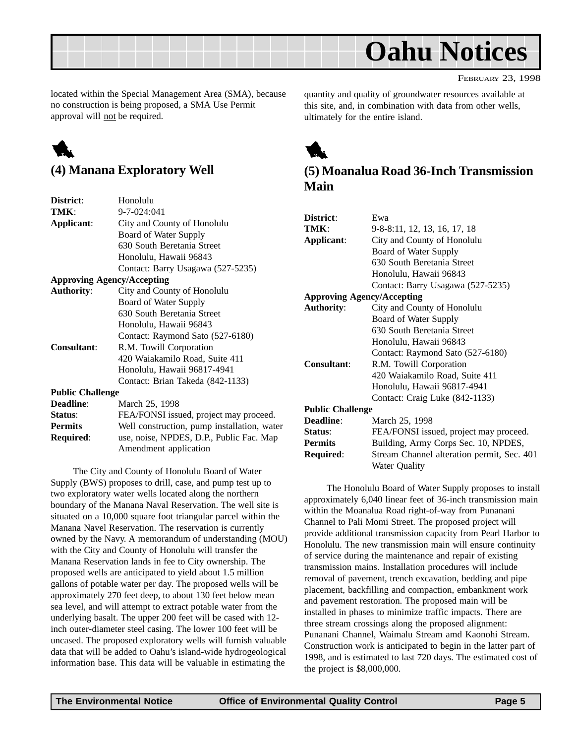<span id="page-4-0"></span>

located within the Special Management Area (SMA), because no construction is being proposed, a SMA Use Permit approval will not be required.

# 1

#### **(4) Manana Exploratory Well**

| District:               | Honolulu                                    |
|-------------------------|---------------------------------------------|
| TMK:                    | 9-7-024:041                                 |
| Applicant:              | City and County of Honolulu                 |
|                         | Board of Water Supply                       |
|                         | 630 South Beretania Street                  |
|                         | Honolulu, Hawaii 96843                      |
|                         | Contact: Barry Usagawa (527-5235)           |
|                         | <b>Approving Agency/Accepting</b>           |
| <b>Authority:</b>       | City and County of Honolulu                 |
|                         | Board of Water Supply                       |
|                         | 630 South Beretania Street                  |
|                         | Honolulu, Hawaii 96843                      |
|                         | Contact: Raymond Sato (527-6180)            |
| <b>Consultant:</b>      | R.M. Towill Corporation                     |
|                         | 420 Waiakamilo Road, Suite 411              |
|                         | Honolulu, Hawaii 96817-4941                 |
|                         | Contact: Brian Takeda (842-1133)            |
| <b>Public Challenge</b> |                                             |
| Deadline:               | March 25, 1998                              |
| Status:                 | FEA/FONSI issued, project may proceed.      |
| <b>Permits</b>          | Well construction, pump installation, water |
| <b>Required:</b>        | use, noise, NPDES, D.P., Public Fac. Map    |
|                         | Amendment application                       |
|                         |                                             |

The City and County of Honolulu Board of Water Supply (BWS) proposes to drill, case, and pump test up to two exploratory water wells located along the northern boundary of the Manana Naval Reservation. The well site is situated on a 10,000 square foot triangular parcel within the Manana Navel Reservation. The reservation is currently owned by the Navy. A memorandum of understanding (MOU) with the City and County of Honolulu will transfer the Manana Reservation lands in fee to City ownership. The proposed wells are anticipated to yield about 1.5 million gallons of potable water per day. The proposed wells will be approximately 270 feet deep, to about 130 feet below mean sea level, and will attempt to extract potable water from the underlying basalt. The upper 200 feet will be cased with 12 inch outer-diameter steel casing. The lower 100 feet will be uncased. The proposed exploratory wells will furnish valuable data that will be added to Oahu's island-wide hydrogeological information base. This data will be valuable in estimating the

quantity and quality of groundwater resources available at this site, and, in combination with data from other wells, ultimately for the entire island.



#### **(5) Moanalua Road 36-Inch Transmission Main**

| District:                         | Ewa                                        |
|-----------------------------------|--------------------------------------------|
| TMK:                              | 9-8-8:11, 12, 13, 16, 17, 18               |
| Applicant:                        | City and County of Honolulu                |
|                                   | Board of Water Supply                      |
|                                   | 630 South Beretania Street                 |
|                                   | Honolulu, Hawaii 96843                     |
|                                   | Contact: Barry Usagawa (527-5235)          |
| <b>Approving Agency/Accepting</b> |                                            |
| <b>Authority:</b>                 | City and County of Honolulu                |
|                                   | Board of Water Supply                      |
|                                   | 630 South Beretania Street                 |
|                                   | Honolulu, Hawaii 96843                     |
|                                   | Contact: Raymond Sato (527-6180)           |
| Consultant:                       | R.M. Towill Corporation                    |
|                                   | 420 Waiakamilo Road, Suite 411             |
|                                   | Honolulu, Hawaii 96817-4941                |
|                                   | Contact: Craig Luke (842-1133)             |
| <b>Public Challenge</b>           |                                            |
| Deadline:                         | March 25, 1998                             |
| Status:                           | FEA/FONSI issued, project may proceed.     |
| <b>Permits</b>                    | Building, Army Corps Sec. 10, NPDES,       |
| Required:                         | Stream Channel alteration permit, Sec. 401 |
|                                   | Water Ouality                              |

The Honolulu Board of Water Supply proposes to install approximately 6,040 linear feet of 36-inch transmission main within the Moanalua Road right-of-way from Punanani Channel to Pali Momi Street. The proposed project will provide additional transmission capacity from Pearl Harbor to Honolulu. The new transmission main will ensure continuity of service during the maintenance and repair of existing transmission mains. Installation procedures will include removal of pavement, trench excavation, bedding and pipe placement, backfilling and compaction, embankment work and pavement restoration. The proposed main will be installed in phases to minimize traffic impacts. There are three stream crossings along the proposed alignment: Punanani Channel, Waimalu Stream amd Kaonohi Stream. Construction work is anticipated to begin in the latter part of 1998, and is estimated to last 720 days. The estimated cost of the project is \$8,000,000.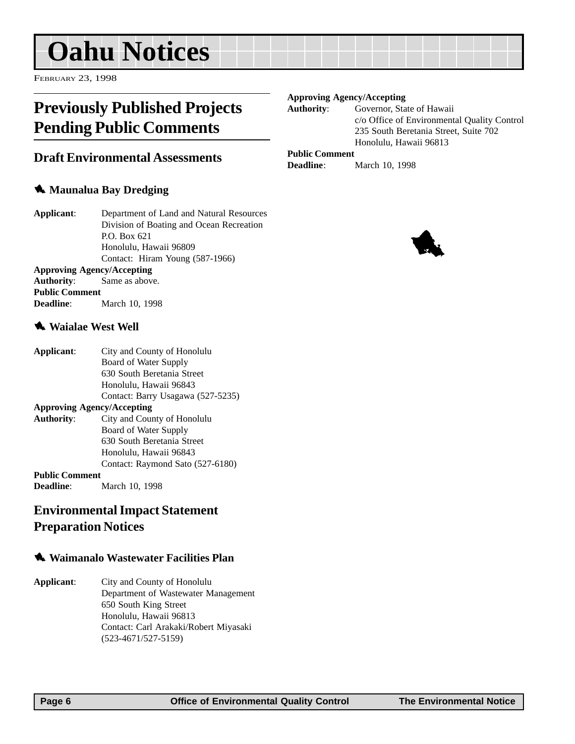# <span id="page-5-0"></span>**Oahu Notices**

FEBRUARY 23, 1998

## **Previously Published Projects Pending Public Comments**

#### **Draft Environmental Assessments**

#### **1** Maunalua Bay Dredging

| Applicant: | Department of Land and Natural Resources |
|------------|------------------------------------------|
|            | Division of Boating and Ocean Recreation |
|            | P.O. Box 621                             |
|            | Honolulu, Hawaii 96809                   |
|            | Contact: Hiram Young (587-1966)          |
|            | <b>Approving Agency/Accepting</b>        |

**Authority**: Same as above. **Public Comment Deadline**: March 10, 1998

#### 1 **Waialae West Well**

| Applicant:                        | City and County of Honolulu       |
|-----------------------------------|-----------------------------------|
|                                   | Board of Water Supply             |
|                                   | 630 South Beretania Street        |
|                                   | Honolulu, Hawaii 96843            |
|                                   | Contact: Barry Usagawa (527-5235) |
| <b>Approving Agency/Accepting</b> |                                   |
| <b>Authority:</b>                 | City and County of Honolulu       |
|                                   | Board of Water Supply             |
|                                   | 630 South Beretania Street        |
|                                   | Honolulu, Hawaii 96843            |
|                                   | Contact: Raymond Sato (527-6180)  |
| <b>Public Comment</b>             |                                   |
| <b>Deadline:</b>                  | March 10, 1998                    |

#### **Environmental Impact Statement Preparation Notices**

#### 1 **Waimanalo Wastewater Facilities Plan**

**Applicant**: City and County of Honolulu Department of Wastewater Management 650 South King Street Honolulu, Hawaii 96813 Contact: Carl Arakaki/Robert Miyasaki (523-4671/527-5159)

#### **Approving Agency/Accepting**

**Authority**: Governor, State of Hawaii c/o Office of Environmental Quality Control 235 South Beretania Street, Suite 702 Honolulu, Hawaii 96813

#### **Public Comment**

**Deadline**: March 10, 1998

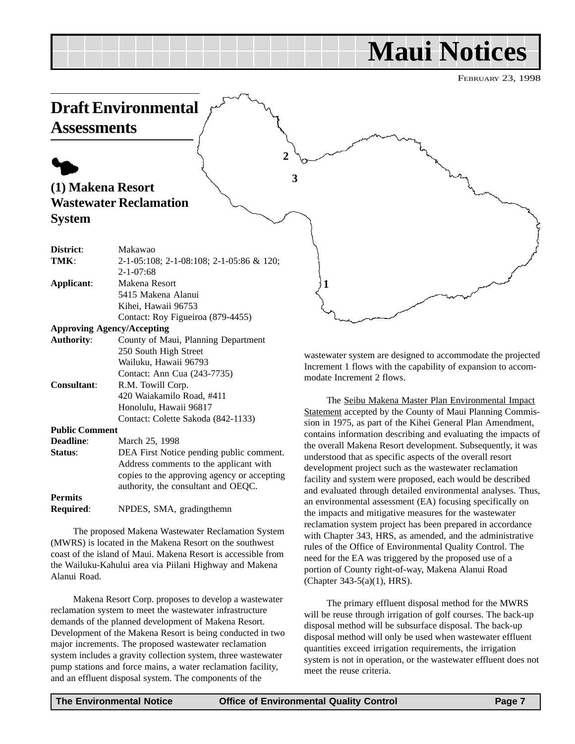FEBRUARY 23, 1998

<span id="page-6-0"></span>

wastewater system are designed to accommodate the projected Increment 1 flows with the capability of expansion to accommodate Increment 2 flows.

The Seibu Makena Master Plan Environmental Impact Statement accepted by the County of Maui Planning Commission in 1975, as part of the Kihei General Plan Amendment, contains information describing and evaluating the impacts of the overall Makena Resort development. Subsequently, it was understood that as specific aspects of the overall resort development project such as the wastewater reclamation facility and system were proposed, each would be described and evaluated through detailed environmental analyses. Thus, an environmental assessment (EA) focusing specifically on the impacts and mitigative measures for the wastewater reclamation system project has been prepared in accordance with Chapter 343, HRS, as amended, and the administrative rules of the Office of Environmental Quality Control. The need for the EA was triggered by the proposed use of a portion of County right-of-way, Makena Alanui Road (Chapter 343-5(a)(1), HRS).

The primary effluent disposal method for the MWRS will be reuse through irrigation of golf courses. The back-up disposal method will be subsurface disposal. The back-up disposal method will only be used when wastewater effluent quantities exceed irrigation requirements, the irrigation system is not in operation, or the wastewater effluent does not meet the reuse criteria.

Wailuku, Hawaii 96793 Contact: Ann Cua (243-7735)

420 Waiakamilo Road, #411 Honolulu, Hawaii 96817

**Status**: DEA First Notice pending public comment.

The proposed Makena Wastewater Reclamation System

Makena Resort Corp. proposes to develop a wastewater

(MWRS) is located in the Makena Resort on the southwest coast of the island of Maui. Makena Resort is accessible from the Wailuku-Kahului area via Piilani Highway and Makena

reclamation system to meet the wastewater infrastructure demands of the planned development of Makena Resort. Development of the Makena Resort is being conducted in two major increments. The proposed wastewater reclamation system includes a gravity collection system, three wastewater pump stations and force mains, a water reclamation facility, and an effluent disposal system. The components of the

**Required**: NPDES, SMA, gradingthemn

Contact: Colette Sakoda (842-1133)

Address comments to the applicant with copies to the approving agency or accepting authority, the consultant and OEQC.

**Consultant**: R.M. Towill Corp.

**Deadline**: March 25, 1998

**Public Comment**

**Permits**

Alanui Road.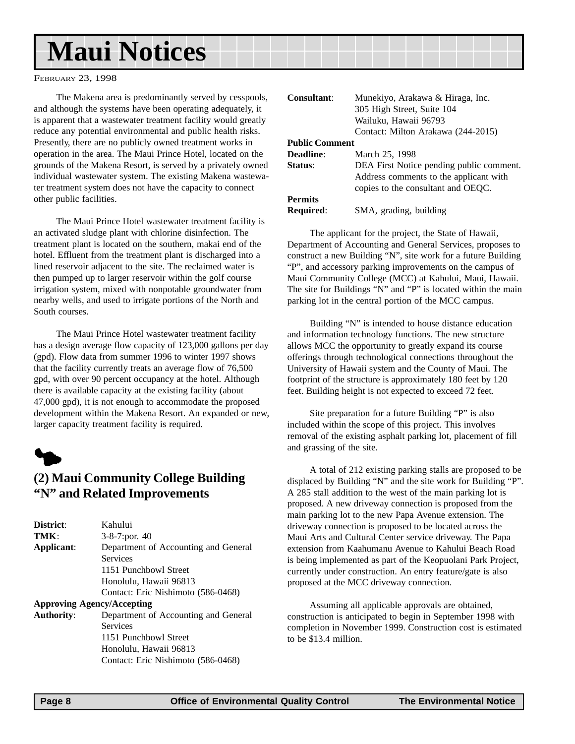<span id="page-7-0"></span>FEBRUARY 23, 1998

The Makena area is predominantly served by cesspools, and although the systems have been operating adequately, it is apparent that a wastewater treatment facility would greatly reduce any potential environmental and public health risks. Presently, there are no publicly owned treatment works in operation in the area. The Maui Prince Hotel, located on the grounds of the Makena Resort, is served by a privately owned individual wastewater system. The existing Makena wastewater treatment system does not have the capacity to connect other public facilities.

The Maui Prince Hotel wastewater treatment facility is an activated sludge plant with chlorine disinfection. The treatment plant is located on the southern, makai end of the hotel. Effluent from the treatment plant is discharged into a lined reservoir adjacent to the site. The reclaimed water is then pumped up to larger reservoir within the golf course irrigation system, mixed with nonpotable groundwater from nearby wells, and used to irrigate portions of the North and South courses.

The Maui Prince Hotel wastewater treatment facility has a design average flow capacity of 123,000 gallons per day (gpd). Flow data from summer 1996 to winter 1997 shows that the facility currently treats an average flow of 76,500 gpd, with over 90 percent occupancy at the hotel. Although there is available capacity at the existing facility (about 47,000 gpd), it is not enough to accommodate the proposed development within the Makena Resort. An expanded or new, larger capacity treatment facility is required.



#### **(2) Maui Community College Building "N" and Related Improvements**

| District:         | Kahului                              |
|-------------------|--------------------------------------|
| TMK:              | $3-8-7$ : por. 40                    |
| Applicant:        | Department of Accounting and General |
|                   | Services                             |
|                   | 1151 Punchbowl Street                |
|                   | Honolulu, Hawaii 96813               |
|                   | Contact: Eric Nishimoto (586-0468)   |
|                   | <b>Approving Agency/Accepting</b>    |
| <b>Authority:</b> | Department of Accounting and General |
|                   | <b>Services</b>                      |
|                   | 1151 Punchbowl Street                |
|                   | Honolulu, Hawaii 96813               |
|                   | Contact: Eric Nishimoto (586-0468)   |

| Consultant:           | Munekiyo, Arakawa & Hiraga, Inc.<br>305 High Street, Suite 104 |
|-----------------------|----------------------------------------------------------------|
|                       | Wailuku, Hawaii 96793                                          |
|                       | Contact: Milton Arakawa (244-2015)                             |
| <b>Public Comment</b> |                                                                |
| Deadline:             | March 25, 1998                                                 |
| Status:               | DEA First Notice pending public comment.                       |
|                       | Address comments to the applicant with                         |
|                       | copies to the consultant and OEQC.                             |
| <b>Permits</b>        |                                                                |
| <b>Required:</b>      | SMA, grading, building                                         |

The applicant for the project, the State of Hawaii, Department of Accounting and General Services, proposes to construct a new Building "N", site work for a future Building "P", and accessory parking improvements on the campus of Maui Community College (MCC) at Kahului, Maui, Hawaii. The site for Buildings "N" and "P" is located within the main parking lot in the central portion of the MCC campus.

Building "N" is intended to house distance education and information technology functions. The new structure allows MCC the opportunity to greatly expand its course offerings through technological connections throughout the University of Hawaii system and the County of Maui. The footprint of the structure is approximately 180 feet by 120 feet. Building height is not expected to exceed 72 feet.

Site preparation for a future Building "P" is also included within the scope of this project. This involves removal of the existing asphalt parking lot, placement of fill and grassing of the site.

A total of 212 existing parking stalls are proposed to be displaced by Building "N" and the site work for Building "P". A 285 stall addition to the west of the main parking lot is proposed. A new driveway connection is proposed from the main parking lot to the new Papa Avenue extension. The driveway connection is proposed to be located across the Maui Arts and Cultural Center service driveway. The Papa extension from Kaahumanu Avenue to Kahului Beach Road is being implemented as part of the Keopuolani Park Project, currently under construction. An entry feature/gate is also proposed at the MCC driveway connection.

Assuming all applicable approvals are obtained, construction is anticipated to begin in September 1998 with completion in November 1999. Construction cost is estimated to be \$13.4 million.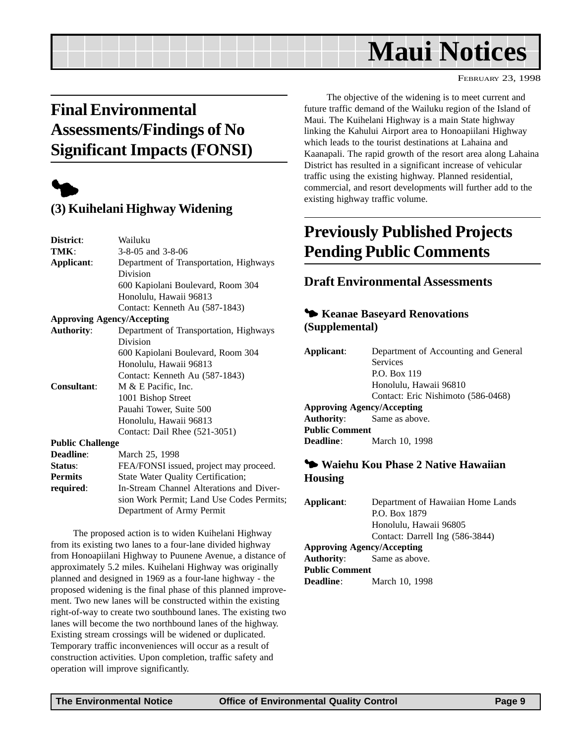FEBRUARY 23, 1998

## <span id="page-8-0"></span>**Final Environmental Assessments/Findings of No Significant Impacts (FONSI)**



#### **(3) Kuihelani Highway Widening**

| District:               | Wailuku                                   |
|-------------------------|-------------------------------------------|
| TMK:                    | 3-8-05 and 3-8-06                         |
| Applicant:              | Department of Transportation, Highways    |
|                         | Division                                  |
|                         | 600 Kapiolani Boulevard, Room 304         |
|                         | Honolulu, Hawaii 96813                    |
|                         | Contact: Kenneth Au (587-1843)            |
|                         | <b>Approving Agency/Accepting</b>         |
| <b>Authority:</b>       | Department of Transportation, Highways    |
|                         | Division                                  |
|                         | 600 Kapiolani Boulevard, Room 304         |
|                         | Honolulu, Hawaii 96813                    |
|                         | Contact: Kenneth Au (587-1843)            |
| <b>Consultant:</b>      | M & E Pacific, Inc.                       |
|                         | 1001 Bishop Street                        |
|                         | Pauahi Tower, Suite 500                   |
|                         | Honolulu, Hawaii 96813                    |
|                         | Contact: Dail Rhee (521-3051)             |
| <b>Public Challenge</b> |                                           |
| Deadline:               | March 25, 1998                            |
| Status:                 | FEA/FONSI issued, project may proceed.    |
| <b>Permits</b>          | State Water Quality Certification;        |
| required:               | In-Stream Channel Alterations and Diver-  |
|                         | sion Work Permit; Land Use Codes Permits; |
|                         | Department of Army Permit                 |

The proposed action is to widen Kuihelani Highway from its existing two lanes to a four-lane divided highway from Honoapiilani Highway to Puunene Avenue, a distance of approximately 5.2 miles. Kuihelani Highway was originally planned and designed in 1969 as a four-lane highway - the proposed widening is the final phase of this planned improvement. Two new lanes will be constructed within the existing right-of-way to create two southbound lanes. The existing two lanes will become the two northbound lanes of the highway. Existing stream crossings will be widened or duplicated. Temporary traffic inconveniences will occur as a result of construction activities. Upon completion, traffic safety and operation will improve significantly.

The objective of the widening is to meet current and future traffic demand of the Wailuku region of the Island of Maui. The Kuihelani Highway is a main State highway linking the Kahului Airport area to Honoapiilani Highway which leads to the tourist destinations at Lahaina and Kaanapali. The rapid growth of the resort area along Lahaina District has resulted in a significant increase of vehicular traffic using the existing highway. Planned residential, commercial, and resort developments will further add to the existing highway traffic volume.

## **Previously Published Projects Pending Public Comments**

#### **Draft Environmental Assessments**

#### 3 **Keanae Baseyard Renovations (Supplemental)**

| Applicant:                        | Department of Accounting and General |
|-----------------------------------|--------------------------------------|
|                                   | <b>Services</b>                      |
|                                   | P.O. Box 119                         |
|                                   | Honolulu, Hawaii 96810               |
|                                   | Contact: Eric Nishimoto (586-0468)   |
| <b>Approving Agency/Accepting</b> |                                      |
|                                   | <b>Authority:</b> Same as above.     |
| <b>Public Comment</b>             |                                      |
| <b>Deadline:</b>                  | March 10, 1998                       |
|                                   |                                      |

#### 3 **Waiehu Kou Phase 2 Native Hawaiian Housing**

| Applicant:                        | Department of Hawaiian Home Lands |  |  |
|-----------------------------------|-----------------------------------|--|--|
|                                   | P.O. Box 1879                     |  |  |
|                                   | Honolulu, Hawaii 96805            |  |  |
|                                   | Contact: Darrell Ing (586-3844)   |  |  |
| <b>Approving Agency/Accepting</b> |                                   |  |  |
| <b>Authority:</b> Same as above.  |                                   |  |  |
| <b>Public Comment</b>             |                                   |  |  |
| <b>Deadline:</b>                  | March 10, 1998                    |  |  |
|                                   |                                   |  |  |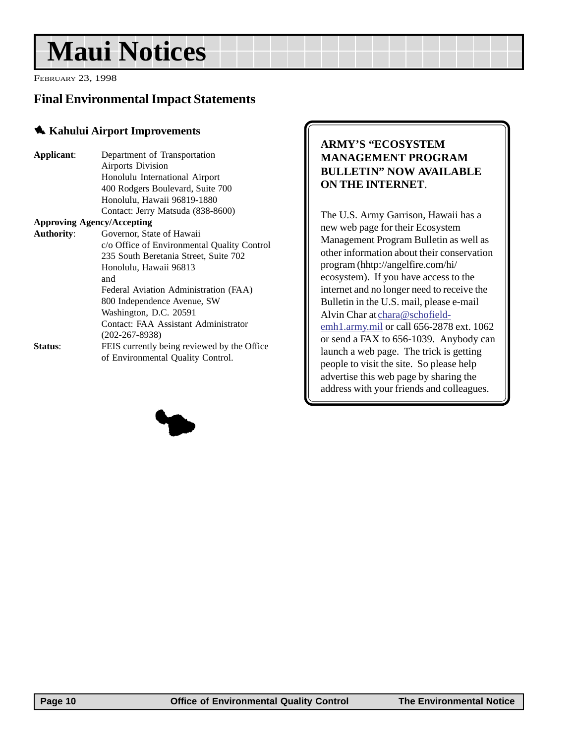<span id="page-9-0"></span>FEBRUARY 23, 1998

#### **Final Environmental Impact Statements**

#### 1 **Kahului Airport Improvements**

| Applicant:                        | Department of Transportation                |  |  |  |
|-----------------------------------|---------------------------------------------|--|--|--|
|                                   | <b>Airports Division</b>                    |  |  |  |
|                                   | Honolulu International Airport              |  |  |  |
|                                   | 400 Rodgers Boulevard, Suite 700            |  |  |  |
|                                   | Honolulu, Hawaii 96819-1880                 |  |  |  |
|                                   | Contact: Jerry Matsuda (838-8600)           |  |  |  |
| <b>Approving Agency/Accepting</b> |                                             |  |  |  |
| <b>Authority:</b>                 | Governor, State of Hawaii                   |  |  |  |
|                                   | c/o Office of Environmental Quality Control |  |  |  |
|                                   | 235 South Beretania Street, Suite 702       |  |  |  |
|                                   | Honolulu, Hawaii 96813                      |  |  |  |
|                                   | and                                         |  |  |  |
|                                   | Federal Aviation Administration (FAA)       |  |  |  |
|                                   | 800 Independence Avenue, SW                 |  |  |  |
|                                   | Washington, D.C. 20591                      |  |  |  |
|                                   | Contact: FAA Assistant Administrator        |  |  |  |
|                                   | $(202 - 267 - 8938)$                        |  |  |  |
| Status:                           | FEIS currently being reviewed by the Office |  |  |  |
|                                   | of Environmental Quality Control.           |  |  |  |
|                                   |                                             |  |  |  |

#### **ARMY'S "ECOSYSTEM MANAGEMENT PROGRAM BULLETIN" NOW AVAILABLE ON THE INTERNET**.

The U.S. Army Garrison, Hawaii has a new web page for their Ecosystem Management Program Bulletin as well as other information about their conservation program (hhtp://angelfire.com/hi/ ecosystem). If you have access to the internet and no longer need to receive the Bulletin in the U.S. mail, please e-mail Alvin Char at chara@schofieldemh1.army.mil or call 656-2878 ext. 1062 or send a FAX to 656-1039. Anybody can launch a web page. The trick is getting people to visit the site. So please help advertise this web page by sharing the address with your friends and colleagues.

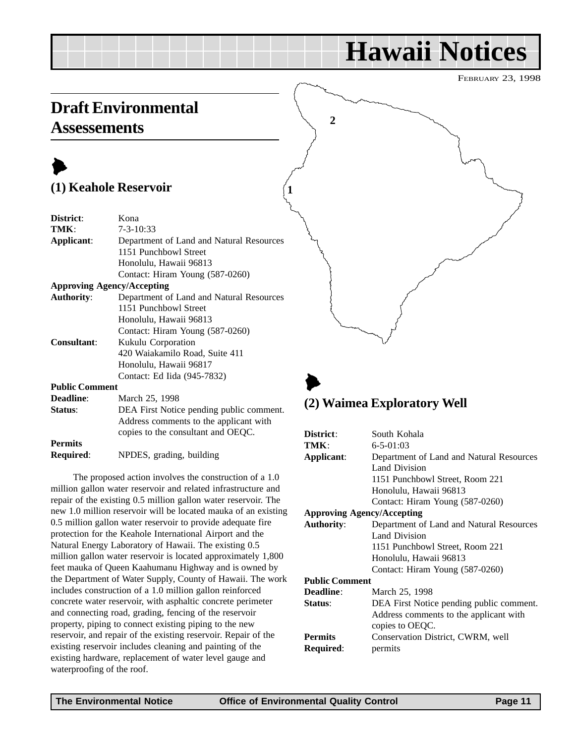# **Hawaii Notices**

FEBRUARY 23, 1998

## <span id="page-10-0"></span>**Draft Environmental Assessements**

## $\blacktriangleright$ **(1) Keahole Reservoir**

| District:             | Kona                                     |  |  |
|-----------------------|------------------------------------------|--|--|
| TMK:                  | $7 - 3 - 10:33$                          |  |  |
| Applicant:            | Department of Land and Natural Resources |  |  |
|                       | 1151 Punchbowl Street                    |  |  |
|                       | Honolulu, Hawaii 96813                   |  |  |
|                       | Contact: Hiram Young (587-0260)          |  |  |
|                       | <b>Approving Agency/Accepting</b>        |  |  |
| <b>Authority:</b>     | Department of Land and Natural Resources |  |  |
|                       | 1151 Punchbowl Street                    |  |  |
|                       | Honolulu, Hawaii 96813                   |  |  |
|                       | Contact: Hiram Young (587-0260)          |  |  |
| <b>Consultant:</b>    | Kukulu Corporation                       |  |  |
|                       | 420 Waiakamilo Road, Suite 411           |  |  |
|                       | Honolulu, Hawaii 96817                   |  |  |
|                       | Contact: Ed Iida (945-7832)              |  |  |
| <b>Public Comment</b> |                                          |  |  |
| Deadline:             | March 25, 1998                           |  |  |
| Status:               | DEA First Notice pending public comment. |  |  |
|                       | Address comments to the applicant with   |  |  |
|                       | copies to the consultant and OEQC.       |  |  |
| <b>Permits</b>        |                                          |  |  |

**Required**: NPDES, grading, building

The proposed action involves the construction of a 1.0 million gallon water reservoir and related infrastructure and repair of the existing 0.5 million gallon water reservoir. The new 1.0 million reservoir will be located mauka of an existing 0.5 million gallon water reservoir to provide adequate fire protection for the Keahole International Airport and the Natural Energy Laboratory of Hawaii. The existing 0.5 million gallon water reservoir is located approximately 1,800 feet mauka of Queen Kaahumanu Highway and is owned by the Department of Water Supply, County of Hawaii. The work includes construction of a 1.0 million gallon reinforced concrete water reservoir, with asphaltic concrete perimeter and connecting road, grading, fencing of the reservoir property, piping to connect existing piping to the new reservoir, and repair of the existing reservoir. Repair of the existing reservoir includes cleaning and painting of the existing hardware, replacement of water level gauge and waterproofing of the roof.

# **2**

## $\blacktriangleright$ **(2) Waimea Exploratory Well**

| District:                         | South Kohala                             |  |  |
|-----------------------------------|------------------------------------------|--|--|
| TMK:                              | $6 - 5 - 01:03$                          |  |  |
| Applicant:                        | Department of Land and Natural Resources |  |  |
|                                   | <b>Land Division</b>                     |  |  |
|                                   | 1151 Punchbowl Street, Room 221          |  |  |
|                                   | Honolulu, Hawaii 96813                   |  |  |
|                                   | Contact: Hiram Young (587-0260)          |  |  |
| <b>Approving Agency/Accepting</b> |                                          |  |  |
| <b>Authority:</b>                 | Department of Land and Natural Resources |  |  |
|                                   | <b>Land Division</b>                     |  |  |
|                                   | 1151 Punchbowl Street, Room 221          |  |  |
|                                   | Honolulu, Hawaii 96813                   |  |  |
|                                   | Contact: Hiram Young (587-0260)          |  |  |
| <b>Public Comment</b>             |                                          |  |  |
| <b>Deadline:</b>                  | March 25, 1998                           |  |  |
| Status:                           | DEA First Notice pending public comment. |  |  |
|                                   | Address comments to the applicant with   |  |  |
|                                   | copies to OEQC.                          |  |  |
| <b>Permits</b>                    | Conservation District, CWRM, well        |  |  |
| <b>Required:</b>                  | permits                                  |  |  |

**1**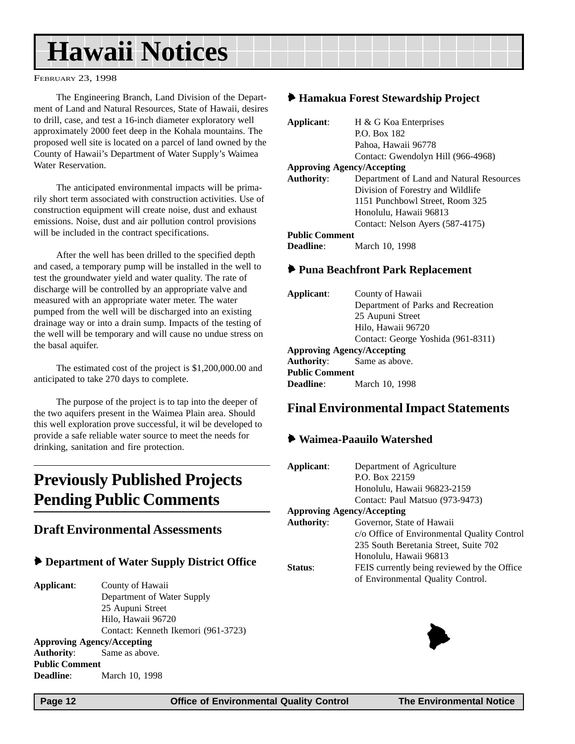# <span id="page-11-0"></span>**Hawaii Notices**

FEBRUARY 23, 1998

The Engineering Branch, Land Division of the Department of Land and Natural Resources, State of Hawaii, desires to drill, case, and test a 16-inch diameter exploratory well approximately 2000 feet deep in the Kohala mountains. The proposed well site is located on a parcel of land owned by the County of Hawaii's Department of Water Supply's Waimea Water Reservation.

The anticipated environmental impacts will be primarily short term associated with construction activities. Use of construction equipment will create noise, dust and exhaust emissions. Noise, dust and air pollution control provisions will be included in the contract specifications.

After the well has been drilled to the specified depth and cased, a temporary pump will be installed in the well to test the groundwater yield and water quality. The rate of discharge will be controlled by an appropriate valve and measured with an appropriate water meter. The water pumped from the well will be discharged into an existing drainage way or into a drain sump. Impacts of the testing of the well will be temporary and will cause no undue stress on the basal aquifer.

The estimated cost of the project is \$1,200,000.00 and anticipated to take 270 days to complete.

The purpose of the project is to tap into the deeper of the two aquifers present in the Waimea Plain area. Should this well exploration prove successful, it wil be developed to provide a safe reliable water source to meet the needs for drinking, sanitation and fire protection.

## **Previously Published Projects Pending Public Comments**

#### **Draft Environmental Assessments**

#### 6 **Department of Water Supply District Office**

**Applicant**: County of Hawaii Department of Water Supply 25 Aupuni Street Hilo, Hawaii 96720 Contact: Kenneth Ikemori (961-3723) **Approving Agency/Accepting Authority**: Same as above. **Public Comment Deadline**: March 10, 1998

#### 6 **Hamakua Forest Stewardship Project**

| Applicant:            | H & G Koa Enterprises                    |  |
|-----------------------|------------------------------------------|--|
|                       | P.O. Box 182                             |  |
|                       | Pahoa, Hawaii 96778                      |  |
|                       | Contact: Gwendolyn Hill (966-4968)       |  |
|                       | <b>Approving Agency/Accepting</b>        |  |
| <b>Authority:</b>     | Department of Land and Natural Resources |  |
|                       | Division of Forestry and Wildlife        |  |
|                       | 1151 Punchbowl Street, Room 325          |  |
|                       | Honolulu, Hawaii 96813                   |  |
|                       | Contact: Nelson Ayers (587-4175)         |  |
| <b>Public Comment</b> |                                          |  |
| <b>Deadline:</b>      | March 10, 1998                           |  |

#### 6 **Puna Beachfront Park Replacement**

| Applicant:<br>County of Hawaii    |                                    |  |  |  |
|-----------------------------------|------------------------------------|--|--|--|
|                                   | Department of Parks and Recreation |  |  |  |
|                                   | 25 Aupuni Street                   |  |  |  |
|                                   | Hilo, Hawaii 96720                 |  |  |  |
|                                   | Contact: George Yoshida (961-8311) |  |  |  |
| <b>Approving Agency/Accepting</b> |                                    |  |  |  |
| <b>Authority:</b> Same as above.  |                                    |  |  |  |
| <b>Public Comment</b>             |                                    |  |  |  |
| <b>Deadline:</b>                  | March 10, 1998                     |  |  |  |

#### **Final Environmental Impact Statements**

#### 6 **Waimea-Paauilo Watershed**

| Applicant:                        | Department of Agriculture                   |  |
|-----------------------------------|---------------------------------------------|--|
|                                   | P.O. Box 22159                              |  |
|                                   | Honolulu, Hawaii 96823-2159                 |  |
|                                   | Contact: Paul Matsuo (973-9473)             |  |
| <b>Approving Agency/Accepting</b> |                                             |  |
| <b>Authority:</b>                 | Governor, State of Hawaii                   |  |
|                                   | c/o Office of Environmental Quality Control |  |
|                                   | 235 South Beretania Street, Suite 702       |  |
|                                   | Honolulu, Hawaii 96813                      |  |
| Status <sup>.</sup>               | FEIS currently being reviewed by the Office |  |
|                                   | of Environmental Quality Control.           |  |
|                                   |                                             |  |

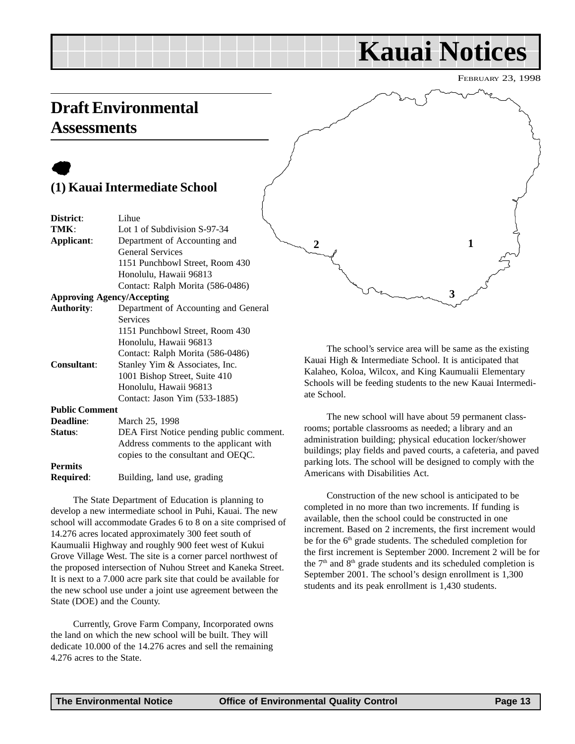# **Kauai Notices**

FEBRUARY 23, 1998

## <span id="page-12-0"></span>**Draft Environmental Assessments**

## $\bullet$ **(1) Kauai Intermediate School**

| District:             | Lihue                                    |
|-----------------------|------------------------------------------|
| TMK:                  | Lot 1 of Subdivision S-97-34             |
| Applicant:            | Department of Accounting and             |
|                       | <b>General Services</b>                  |
|                       | 1151 Punchbowl Street, Room 430          |
|                       | Honolulu, Hawaii 96813                   |
|                       | Contact: Ralph Morita (586-0486)         |
|                       | <b>Approving Agency/Accepting</b>        |
| <b>Authority:</b>     | Department of Accounting and General     |
|                       | Services                                 |
|                       | 1151 Punchbowl Street, Room 430          |
|                       | Honolulu, Hawaii 96813                   |
|                       | Contact: Ralph Morita (586-0486)         |
| <b>Consultant:</b>    | Stanley Yim & Associates, Inc.           |
|                       | 1001 Bishop Street, Suite 410            |
|                       | Honolulu, Hawaii 96813                   |
|                       | Contact: Jason Yim (533-1885)            |
| <b>Public Comment</b> |                                          |
| Deadline:             | March 25, 1998                           |
| Status:               | DEA First Notice pending public comment. |
|                       | Address comments to the applicant with   |
|                       | copies to the consultant and OEQC.       |
| <b>Permits</b>        |                                          |
| Required:             | Building, land use, grading              |

The State Department of Education is planning to develop a new intermediate school in Puhi, Kauai. The new school will accommodate Grades 6 to 8 on a site comprised of 14.276 acres located approximately 300 feet south of Kaumualii Highway and roughly 900 feet west of Kukui Grove Village West. The site is a corner parcel northwest of the proposed intersection of Nuhou Street and Kaneka Street. It is next to a 7.000 acre park site that could be available for the new school use under a joint use agreement between the State (DOE) and the County.

Currently, Grove Farm Company, Incorporated owns the land on which the new school will be built. They will dedicate 10.000 of the 14.276 acres and sell the remaining 4.276 acres to the State.

**3** 2 **1** 

The school's service area will be same as the existing Kauai High & Intermediate School. It is anticipated that Kalaheo, Koloa, Wilcox, and King Kaumualii Elementary Schools will be feeding students to the new Kauai Intermediate School.

The new school will have about 59 permanent classrooms; portable classrooms as needed; a library and an administration building; physical education locker/shower buildings; play fields and paved courts, a cafeteria, and paved parking lots. The school will be designed to comply with the Americans with Disabilities Act.

Construction of the new school is anticipated to be completed in no more than two increments. If funding is available, then the school could be constructed in one increment. Based on 2 increments, the first increment would be for the 6<sup>th</sup> grade students. The scheduled completion for the first increment is September 2000. Increment 2 will be for the  $7<sup>th</sup>$  and  $8<sup>th</sup>$  grade students and its scheduled completion is September 2001. The school's design enrollment is 1,300 students and its peak enrollment is 1,430 students.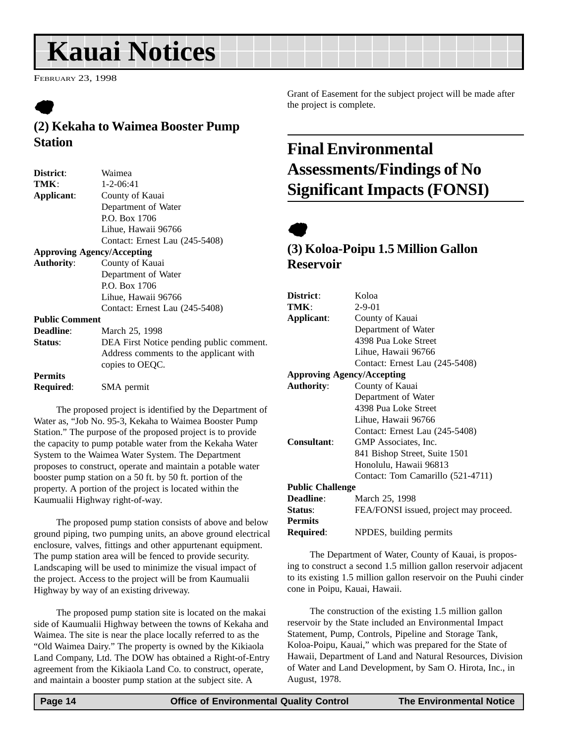# <span id="page-13-0"></span>**Kauai Notices**

FEBRUARY 23, 1998

# $\bullet$

#### **(2) Kekaha to Waimea Booster Pump Station**

| District:             | Waimea                                   |
|-----------------------|------------------------------------------|
| TMK:                  | $1 - 2 - 06:41$                          |
| Applicant:            | County of Kauai                          |
|                       | Department of Water                      |
|                       | P.O. Box 1706                            |
|                       | Lihue, Hawaii 96766                      |
|                       | Contact: Ernest Lau (245-5408)           |
|                       | <b>Approving Agency/Accepting</b>        |
| <b>Authority:</b>     | County of Kauai                          |
|                       | Department of Water                      |
|                       | P.O. Box 1706                            |
|                       | Lihue, Hawaii 96766                      |
|                       | Contact: Ernest Lau (245-5408)           |
| <b>Public Comment</b> |                                          |
| <b>Deadline:</b>      | March 25, 1998                           |
| Status:               | DEA First Notice pending public comment. |
|                       | Address comments to the applicant with   |
|                       | copies to OEQC.                          |
| <b>Permits</b>        |                                          |
| <b>Required:</b>      | SMA permit                               |
|                       |                                          |

The proposed project is identified by the Department of Water as, "Job No. 95-3, Kekaha to Waimea Booster Pump Station." The purpose of the proposed project is to provide the capacity to pump potable water from the Kekaha Water System to the Waimea Water System. The Department proposes to construct, operate and maintain a potable water booster pump station on a 50 ft. by 50 ft. portion of the property. A portion of the project is located within the Kaumualii Highway right-of-way.

The proposed pump station consists of above and below ground piping, two pumping units, an above ground electrical enclosure, valves, fittings and other appurtenant equipment. The pump station area will be fenced to provide security. Landscaping will be used to minimize the visual impact of the project. Access to the project will be from Kaumualii Highway by way of an existing driveway.

The proposed pump station site is located on the makai side of Kaumualii Highway between the towns of Kekaha and Waimea. The site is near the place locally referred to as the "Old Waimea Dairy." The property is owned by the Kikiaola Land Company, Ltd. The DOW has obtained a Right-of-Entry agreement from the Kikiaola Land Co. to construct, operate, and maintain a booster pump station at the subject site. A

Grant of Easement for the subject project will be made after the project is complete.

## **Final Environmental Assessments/Findings of No Significant Impacts (FONSI)**

# $\bullet$

#### **(3) Koloa-Poipu 1.5 Million Gallon Reservoir**

| District:               | Koloa                                  |
|-------------------------|----------------------------------------|
| TMK:                    | $2 - 9 - 01$                           |
| Applicant:              | County of Kauai                        |
|                         | Department of Water                    |
|                         | 4398 Pua Loke Street                   |
|                         | Lihue, Hawaii 96766                    |
|                         | Contact: Ernest Lau (245-5408)         |
|                         | <b>Approving Agency/Accepting</b>      |
| <b>Authority:</b>       | County of Kauai                        |
|                         | Department of Water                    |
|                         | 4398 Pua Loke Street                   |
|                         | Lihue, Hawaii 96766                    |
|                         | Contact: Ernest Lau (245-5408)         |
| <b>Consultant:</b>      | GMP Associates, Inc.                   |
|                         | 841 Bishop Street, Suite 1501          |
|                         | Honolulu, Hawaii 96813                 |
|                         | Contact: Tom Camarillo (521-4711)      |
| <b>Public Challenge</b> |                                        |
| <b>Deadline:</b>        | March 25, 1998                         |
| Status:                 | FEA/FONSI issued, project may proceed. |
| <b>Permits</b>          |                                        |
| Required:               | NPDES, building permits                |
|                         |                                        |

The Department of Water, County of Kauai, is proposing to construct a second 1.5 million gallon reservoir adjacent to its existing 1.5 million gallon reservoir on the Puuhi cinder cone in Poipu, Kauai, Hawaii.

The construction of the existing 1.5 million gallon reservoir by the State included an Environmental Impact Statement, Pump, Controls, Pipeline and Storage Tank, Koloa-Poipu, Kauai," which was prepared for the State of Hawaii, Department of Land and Natural Resources, Division of Water and Land Development, by Sam O. Hirota, Inc., in August, 1978.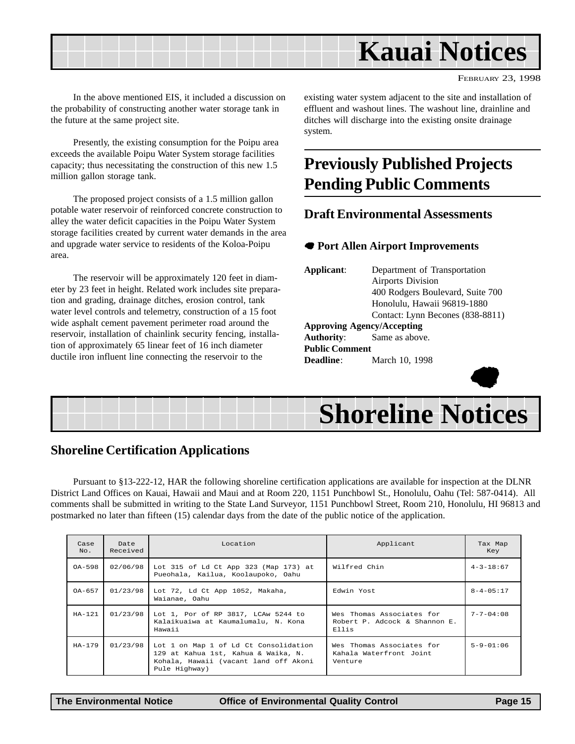

FEBRUARY 23, 1998

In the above mentioned EIS, it included a discussion on the probability of constructing another water storage tank in the future at the same project site.

Presently, the existing consumption for the Poipu area exceeds the available Poipu Water System storage facilities capacity; thus necessitating the construction of this new 1.5 million gallon storage tank.

The proposed project consists of a 1.5 million gallon potable water reservoir of reinforced concrete construction to alley the water deficit capacities in the Poipu Water System storage facilities created by current water demands in the area and upgrade water service to residents of the Koloa-Poipu area.

The reservoir will be approximately 120 feet in diameter by 23 feet in height. Related work includes site preparation and grading, drainage ditches, erosion control, tank water level controls and telemetry, construction of a 15 foot wide asphalt cement pavement perimeter road around the reservoir, installation of chainlink security fencing, installation of approximately 65 linear feet of 16 inch diameter ductile iron influent line connecting the reservoir to the

existing water system adjacent to the site and installation of effluent and washout lines. The washout line, drainline and ditches will discharge into the existing onsite drainage system.

## **Previously Published Projects Pending Public Comments**

#### **Draft Environmental Assessments**

#### 7 **Port Allen Airport Improvements**

**Applicant**: Department of Transportation Airports Division 400 Rodgers Boulevard, Suite 700 Honolulu, Hawaii 96819-1880 Contact: Lynn Becones (838-8811) **Approving Agency/Accepting Authority**: Same as above. **Public Comment Deadline**: March 10, 1998



# **Shoreline Notices**

#### **Shoreline Certification Applications**

Pursuant to §13-222-12, HAR the following shoreline certification applications are available for inspection at the DLNR District Land Offices on Kauai, Hawaii and Maui and at Room 220, 1151 Punchbowl St., Honolulu, Oahu (Tel: 587-0414). All comments shall be submitted in writing to the State Land Surveyor, 1151 Punchbowl Street, Room 210, Honolulu, HI 96813 and postmarked no later than fifteen (15) calendar days from the date of the public notice of the application. **Shoreline Notice**<br> **Shoreline Notice**<br> **Shoreline** Notice<br> **Shoreline** Notice<br> **Shoreline** Notice<br>
Shall be submitted in writing to the State Land Surveyor, 1151 Punchbowl St., Honolulu, Oahu (Tel: 587-04<br>
Shall be submit

| Case<br>No. | Date<br>Received | Location                                                                                                                               | Applicant                                                           | Tax Map<br>Key    |
|-------------|------------------|----------------------------------------------------------------------------------------------------------------------------------------|---------------------------------------------------------------------|-------------------|
| $OA-598$    | 02/06/98         | Lot 315 of Ld Ct App 323 (Map 173) at<br>Pueohala, Kailua, Koolaupoko, Oahu                                                            | Wilfred Chin                                                        | $4 - 3 - 18:67$   |
| $OA-657$    | 01/23/98         | Lot 72, Ld Ct App 1052, Makaha,<br>Waianae, Oahu                                                                                       | Edwin Yost                                                          | $8 - 4 - 05:17$   |
| $HA-121$    | 01/23/98         | Lot 1, Por of RP 3817, LCAw 5244 to<br>Kalaikuaiwa at Kaumalumalu, N. Kona<br>Hawaii                                                   | Wes Thomas Associates for<br>Robert P. Adcock & Shannon E.<br>Ellis | $7 - 7 - 04:08$   |
| $HA-179$    | 01/23/98         | Lot 1 on Map 1 of Ld Ct Consolidation<br>129 at Kahua 1st, Kahua & Waika, N.<br>Kohala, Hawaii (vacant land off Akoni<br>Pule Highway) | Wes Thomas Associates for<br>Kahala Waterfront Joint<br>Venture     | $5 - 9 - 01 : 06$ |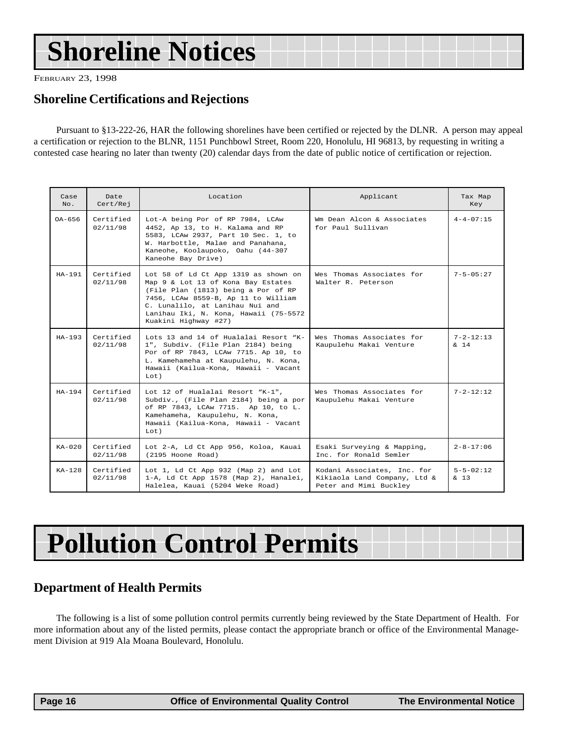# <span id="page-15-0"></span>**Shoreline Notices**

FEBRUARY 23, 1998

#### **Shoreline Certifications and Rejections**

Pursuant to §13-222-26, HAR the following shorelines have been certified or rejected by the DLNR. A person may appeal a certification or rejection to the BLNR, 1151 Punchbowl Street, Room 220, Honolulu, HI 96813, by requesting in writing a contested case hearing no later than twenty (20) calendar days from the date of public notice of certification or rejection.

| Case<br>No.  | Date<br>Cert/Rej      | Location                                                                                                                                                                                                                                                     | Applicant                                                                             | Tax Map<br>Key                      |
|--------------|-----------------------|--------------------------------------------------------------------------------------------------------------------------------------------------------------------------------------------------------------------------------------------------------------|---------------------------------------------------------------------------------------|-------------------------------------|
| OA-656       | Certified<br>02/11/98 | Lot-A being Por of RP 7984, LCAw<br>4452, Ap 13, to H. Kalama and RP<br>5583, LCAw 2937, Part 10 Sec. 1, to<br>W. Harbottle, Malae and Panahana,<br>Kaneohe, Koolaupoko, Oahu (44-307<br>Kaneohe Bay Drive)                                                  | Wm Dean Alcon & Associates<br>for Paul Sullivan                                       | $4 - 4 - 07:15$                     |
| $HA-191$     | Certified<br>02/11/98 | Lot 58 of Ld Ct App 1319 as shown on<br>Map 9 & Lot 13 of Kona Bay Estates<br>(File Plan (1813) being a Por of RP<br>7456, LCAw 8559-B, Ap 11 to William<br>C. Lunalilo, at Lanihau Nui and<br>Lanihau Iki, N. Kona, Hawaii (75-5572<br>Kuakini Highway #27) | Wes Thomas Associates for<br>Walter R. Peterson                                       | $7 - 5 - 05:27$                     |
| $HA-193$     | Certified<br>02/11/98 | Lots 13 and 14 of Hualalai Resort "K-<br>1", Subdiv. (File Plan 2184) being<br>Por of RP 7843, LCAw 7715. Ap 10, to<br>L. Kamehameha at Kaupulehu, N. Kona,<br>Hawaii (Kailua-Kona, Hawaii - Vacant<br>$Toet$ )                                              | Wes Thomas Associates for<br>Kaupulehu Makai Venture                                  | $7 - 2 - 12:13$<br>$\frac{1}{2}$ 14 |
| $HA-194$     | Certified<br>02/11/98 | Lot 12 of Hualalai Resort "K-1",<br>Subdiv., (File Plan 2184) being a por<br>of RP 7843, LCAw 7715. Ap 10, to L.<br>Kamehameha, Kaupulehu, N. Kona,<br>Hawaii (Kailua-Kona, Hawaii - Vacant<br>Lot)                                                          | Wes Thomas Associates for<br>Kaupulehu Makai Venture                                  | $7 - 2 - 12:12$                     |
| $K_A - 0.20$ | Certified<br>02/11/98 | Lot 2-A, Ld Ct App 956, Koloa, Kauai<br>(2195 Hoone Road)                                                                                                                                                                                                    | Esaki Surveying & Mapping,<br>Inc. for Ronald Semler                                  | $2 - 8 - 17:06$                     |
| $KA-128$     | Certified<br>02/11/98 | Lot 1, Ld Ct App 932 (Map 2) and Lot<br>1-A, Ld Ct App 1578 (Map 2), Hanalei,<br>Halelea, Kauai (5204 Weke Road)                                                                                                                                             | Kodani Associates, Inc. for<br>Kikiaola Land Company, Ltd &<br>Peter and Mimi Buckley | $5 - 5 - 02 : 12$<br>$\frac{13}{2}$ |

# **Pollution Control Permits**

#### **Department of Health Permits**

The following is a list of some pollution control permits currently being reviewed by the State Department of Health. For more information about any of the listed permits, please contact the appropriate branch or office of the Environmental Management Division at 919 Ala Moana Boulevard, Honolulu.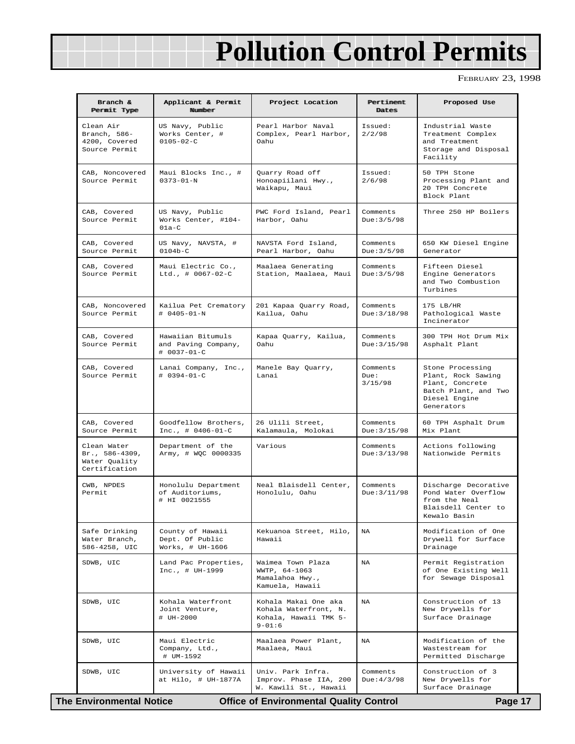# **Pollution Control Permits**

FEBRUARY 23, 1998

| Branch &<br>Permit Type                                         | Applicant & Permit<br><b>Number</b>                        | Project Location                                                                     | Pertiment<br>Dates          | Proposed Use                                                                                                     |
|-----------------------------------------------------------------|------------------------------------------------------------|--------------------------------------------------------------------------------------|-----------------------------|------------------------------------------------------------------------------------------------------------------|
| Clean Air<br>Branch, 586-<br>4200, Covered<br>Source Permit     | US Navy, Public<br>Works Center, #<br>$0105 - 02 - C$      | Pearl Harbor Naval<br>Complex, Pearl Harbor,<br>Oahu                                 | Issued:<br>2/2/98           | Industrial Waste<br>Treatment Complex<br>and Treatment<br>Storage and Disposal<br>Facility                       |
| CAB, Noncovered<br>Source Permit                                | Maui Blocks Inc., #<br>$0373 - 01 - N$                     | Quarry Road off<br>Honoapiilani Hwy.,<br>Waikapu, Maui                               | Issued:<br>2/6/98           | 50 TPH Stone<br>Processing Plant and<br>20 TPH Concrete<br>Block Plant                                           |
| CAB, Covered<br>Source Permit                                   | US Navy, Public<br>Works Center, #104-<br>$01a-C$          | PWC Ford Island, Pearl<br>Harbor, Oahu                                               | Comments<br>Due: 3/5/98     | Three 250 HP Boilers                                                                                             |
| CAB, Covered<br>Source Permit                                   | US Navy, NAVSTA, #<br>$0104b-C$                            | NAVSTA Ford Island,<br>Pearl Harbor, Oahu                                            | Comments<br>Due: 3/5/98     | 650 KW Diesel Engine<br>Generator                                                                                |
| CAB, Covered<br>Source Permit                                   | Maui Electric Co.,<br>Ltd., $\#$ 0067-02-C                 | Maalaea Generating<br>Station, Maalaea, Maui                                         | Comments<br>Due: 3/5/98     | Fifteen Diesel<br>Engine Generators<br>and Two Combustion<br>Turbines                                            |
| CAB, Noncovered<br>Source Permit                                | Kailua Pet Crematory<br>$# 0405 - 01 - N$                  | 201 Kapaa Quarry Road,<br>Kailua, Oahu                                               | Comments<br>Due: 3/18/98    | $175$ LB/HR<br>Pathological Waste<br>Incinerator                                                                 |
| CAB, Covered<br>Source Permit                                   | Hawaiian Bitumuls<br>and Paving Company,<br># 0037-01-C    | Kapaa Quarry, Kailua,<br>Oahu                                                        | Comments<br>Due: 3/15/98    | 300 TPH Hot Drum Mix<br>Asphalt Plant                                                                            |
| CAB, Covered<br>Source Permit                                   | Lanai Company, Inc.,<br>$# 0394 - 01 - C$                  | Manele Bay Quarry,<br>Lanai                                                          | Comments<br>Due:<br>3/15/98 | Stone Processing<br>Plant, Rock Sawing<br>Plant, Concrete<br>Batch Plant, and Two<br>Diesel Engine<br>Generators |
| CAB, Covered<br>Source Permit                                   | Goodfellow Brothers,<br>$Inc. , # 0406-01-C$               | 26 Ulili Street,<br>Kalamaula, Molokai                                               | Comments<br>Due: 3/15/98    | 60 TPH Asphalt Drum<br>Mix Plant                                                                                 |
| Clean Water<br>Br., 586-4309,<br>Water Quality<br>Certification | Department of the<br>Army, # WQC 0000335                   | Various                                                                              | Comments<br>Due: 3/13/98    | Actions following<br>Nationwide Permits                                                                          |
| CWB, NPDES<br>Permit                                            | Honolulu Department<br>of Auditoriums,<br># HI 0021555     | Neal Blaisdell Center,<br>Honolulu, Oahu                                             | Comments<br>Due: 3/11/98    | Discharge Decorative<br>Pond Water Overflow<br>from the Neal<br>Blaisdell Center to<br>Kewalo Basin              |
| Safe Drinking<br>Water Branch,<br>586-4258, UIC                 | County of Hawaii<br>Dept. Of Public<br>Works, $\#$ UH-1606 | Kekuanoa Street, Hilo,<br>Hawaii                                                     | NA                          | Modification of One<br>Drywell for Surface<br>Drainage                                                           |
| SDWB, UIC                                                       | Land Pac Properties,<br>$Inc., # UH-1999$                  | Waimea Town Plaza<br>WWTP, 64-1063<br>Mamalahoa Hwy.,<br>Kamuela, Hawaii             | NA                          | Permit Registration<br>of One Existing Well<br>for Sewage Disposal                                               |
| SDWB, UIC                                                       | Kohala Waterfront<br>Joint Venture,<br># UH-2000           | Kohala Makai One aka<br>Kohala Waterfront, N.<br>Kohala, Hawaii TMK 5-<br>$9 - 01:6$ | NA                          | Construction of 13<br>New Drywells for<br>Surface Drainage                                                       |
| SDWB, UIC                                                       | Maui Electric<br>Company, Ltd.,<br># UM-1592               | Maalaea Power Plant,<br>Maalaea, Maui                                                | NA                          | Modification of the<br>Wastestream for<br>Permitted Discharge                                                    |
| SDWB, UIC                                                       | University of Hawaii<br>at Hilo, # UH-1877A                | Univ. Park Infra.<br>Improv. Phase IIA, 200<br>W. Kawili St., Hawaii                 | Comments<br>Due: 4/3/98     | Construction of 3<br>New Drywells for<br>Surface Drainage                                                        |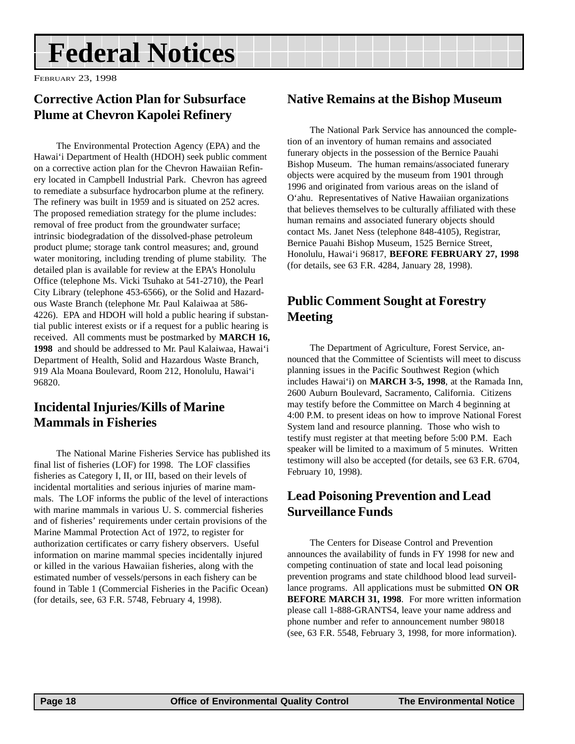# <span id="page-17-0"></span>**Federal Notices**

FEBRUARY 23, 1998

#### **Corrective Action Plan for Subsurface Plume at Chevron Kapolei Refinery**

The Environmental Protection Agency (EPA) and the Hawai'i Department of Health (HDOH) seek public comment on a corrective action plan for the Chevron Hawaiian Refinery located in Campbell Industrial Park. Chevron has agreed to remediate a subsurface hydrocarbon plume at the refinery. The refinery was built in 1959 and is situated on 252 acres. The proposed remediation strategy for the plume includes: removal of free product from the groundwater surface; intrinsic biodegradation of the dissolved-phase petroleum product plume; storage tank control measures; and, ground water monitoring, including trending of plume stability. The detailed plan is available for review at the EPA's Honolulu Office (telephone Ms. Vicki Tsuhako at 541-2710), the Pearl City Library (telephone 453-6566), or the Solid and Hazardous Waste Branch (telephone Mr. Paul Kalaiwaa at 586- 4226). EPA and HDOH will hold a public hearing if substantial public interest exists or if a request for a public hearing is received. All comments must be postmarked by **MARCH 16, 1998** and should be addressed to Mr. Paul Kalaiwaa, Hawai'i Department of Health, Solid and Hazardous Waste Branch, 919 Ala Moana Boulevard, Room 212, Honolulu, Hawai'i 96820.

#### **Incidental Injuries/Kills of Marine Mammals in Fisheries**

The National Marine Fisheries Service has published its final list of fisheries (LOF) for 1998. The LOF classifies fisheries as Category I, II, or III, based on their levels of incidental mortalities and serious injuries of marine mammals. The LOF informs the public of the level of interactions with marine mammals in various U. S. commercial fisheries and of fisheries' requirements under certain provisions of the Marine Mammal Protection Act of 1972, to register for authorization certificates or carry fishery observers. Useful information on marine mammal species incidentally injured or killed in the various Hawaiian fisheries, along with the estimated number of vessels/persons in each fishery can be found in Table 1 (Commercial Fisheries in the Pacific Ocean) (for details, see, 63 F.R. 5748, February 4, 1998).

#### **Native Remains at the Bishop Museum**

The National Park Service has announced the completion of an inventory of human remains and associated funerary objects in the possession of the Bernice Pauahi Bishop Museum. The human remains/associated funerary objects were acquired by the museum from 1901 through 1996 and originated from various areas on the island of O'ahu. Representatives of Native Hawaiian organizations that believes themselves to be culturally affiliated with these human remains and associated funerary objects should contact Ms. Janet Ness (telephone 848-4105), Registrar, Bernice Pauahi Bishop Museum, 1525 Bernice Street, Honolulu, Hawai'i 96817, **BEFORE FEBRUARY 27, 1998** (for details, see 63 F.R. 4284, January 28, 1998).

#### **Public Comment Sought at Forestry Meeting**

The Department of Agriculture, Forest Service, announced that the Committee of Scientists will meet to discuss planning issues in the Pacific Southwest Region (which includes Hawai'i) on **MARCH 3-5, 1998**, at the Ramada Inn, 2600 Auburn Boulevard, Sacramento, California. Citizens may testify before the Committee on March 4 beginning at 4:00 P.M. to present ideas on how to improve National Forest System land and resource planning. Those who wish to testify must register at that meeting before 5:00 P.M. Each speaker will be limited to a maximum of 5 minutes. Written testimony will also be accepted (for details, see 63 F.R. 6704, February 10, 1998).

#### **Lead Poisoning Prevention and Lead Surveillance Funds**

The Centers for Disease Control and Prevention announces the availability of funds in FY 1998 for new and competing continuation of state and local lead poisoning prevention programs and state childhood blood lead surveillance programs. All applications must be submitted **ON OR BEFORE MARCH 31, 1998**. For more written information please call 1-888-GRANTS4, leave your name address and phone number and refer to announcement number 98018 (see, 63 F.R. 5548, February 3, 1998, for more information).